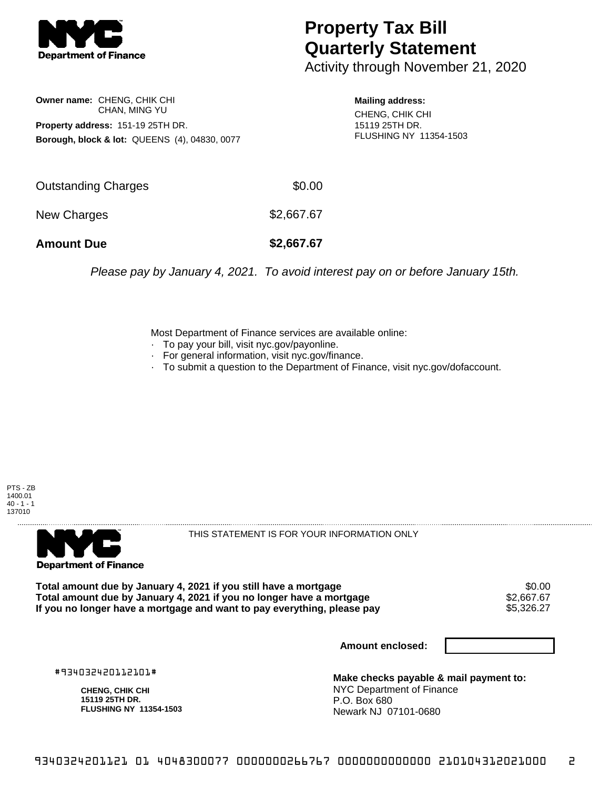

## **Property Tax Bill Quarterly Statement**

Activity through November 21, 2020

**Owner name:** CHENG, CHIK CHI CHAN, MING YU **Property address:** 151-19 25TH DR. **Borough, block & lot:** QUEENS (4), 04830, 0077 **Mailing address:**

CHENG, CHIK CHI 15119 25TH DR. FLUSHING NY 11354-1503

| <b>Amount Due</b>   | \$2,667.67 |
|---------------------|------------|
| New Charges         | \$2,667.67 |
| Outstanding Charges | \$0.00     |

Please pay by January 4, 2021. To avoid interest pay on or before January 15th.

Most Department of Finance services are available online:

- · To pay your bill, visit nyc.gov/payonline.
- For general information, visit nyc.gov/finance.
- · To submit a question to the Department of Finance, visit nyc.gov/dofaccount.





THIS STATEMENT IS FOR YOUR INFORMATION ONLY

Total amount due by January 4, 2021 if you still have a mortgage \$0.00<br>Total amount due by January 4, 2021 if you no longer have a mortgage \$2.667.67 **Total amount due by January 4, 2021 if you no longer have a mortgage \$2,667.67<br>If you no longer have a mortgage and want to pay everything, please pay \$5,326.27** If you no longer have a mortgage and want to pay everything, please pay

**Amount enclosed:**

#934032420112101#

**CHENG, CHIK CHI 15119 25TH DR. FLUSHING NY 11354-1503**

**Make checks payable & mail payment to:** NYC Department of Finance P.O. Box 680 Newark NJ 07101-0680